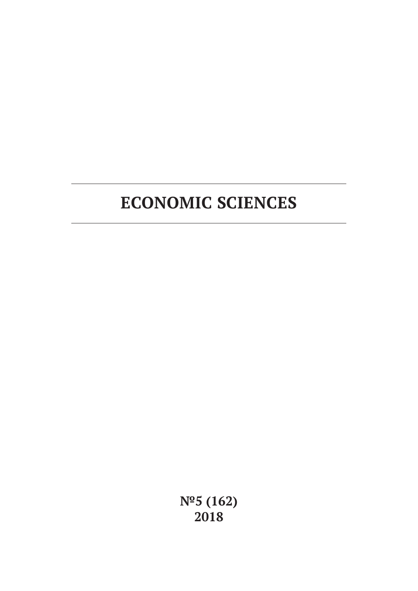# **ECONOMIC SCIENCES**

**№5 (162) 2018**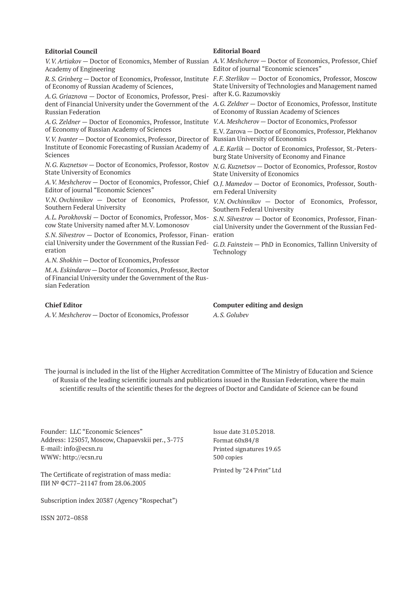#### **Editorial Council** *V.V. Artiakov* — Doctor of Economics, Member of Russian *A.V. Meshcherov* — Doctor of Economics, Professor, Chief Academy of Engineering *R.S. Grinberg* — Doctor of Economics, Professor, Institute *F.F. Sterlikov* — Doctor of Economics, Professor, Moscow of Economy of Russian Academy of Sciences, *A.G. Griaznova* — Doctor of Economics, Professor, President of Financial University under the Government of the *A.G. Zeldner* — Doctor of Economics, Professor, Institute Russian Federation *A.G. Zeldner* — Doctor of Economics, Professor, Institute *V.A. Meshcherov* — Doctor of Economics, Professor of Economy of Russian Academy of Sciences *V.V. Ivanter* — Doctor of Economics, Professor, Director of Russian University of Economics Institute of Economic Forecasting of Russian Academy of Sciences *N.G. Kuznetsov* — Doctor of Economics, Professor, Rostov State University of Economics *A.V. Meshcherov* — Doctor of Economics, Professor, Chief *O.J. Mamedov* — Doctor of Economics, Professor, South-Editor of journal "Economic Sciences" *V.N. Ovchinnikov* — Doctor of Economics, Professor, *V.N. Ovchinnikov* — Doctor of Economics, Professor, Southern Federal University *A.L. Porokhovski* — Doctor of Economics, Professor, Moscow State University named after M.V. Lomonosov *S.N. Silvestrov* — Doctor of Economics, Professor, Finan-eration cial University under the Government of the Russian Federation Editor of journal "Economic sciences" State University of Technologies and Management named after K.G. Razumovskiy of Economy of Russian Academy of Sciences E.V. Zarova — Doctor of Economics, Professor, Plekhanov *A.E. Karlik* — Doctor of Economics, Professor, St.-Petersburg State University of Economy and Finance *N.G. Kuznetsov* — Doctor of Economics, Professor, Rostov State University of Economics ern Federal University Southern Federal University *S.N. Silvestrov* — Doctor of Economics, Professor, Financial University under the Government of the Russian Fed-*G.D. Fainstein* — PhD in Economics, Tallinn University of

*A.N. Shokhin* — Doctor of Economics, Professor

*M.A. Eskindarov* — Doctor of Economics, Professor, Rector of Financial University under the Government of the Russian Federation

#### **Chief Editor**

*A.V. Meshcherov* — Doctor of Economics, Professor

#### **Editorial Board**

Technology

**Computer editing and design** *A.S. Golubev*

The journal is included in the list of the Higher Accreditation Committee of The Ministry of Education and Science of Russia of the leading scientific journals and publications issued in the Russian Federation, where the main scientific results of the scientific theses for the degrees of Doctor and Candidate of Science can be found

Founder: LLC "Economic Sciences" Address: 125057, Moscow, Chapaevskii per., 3-775 E-mail: info@ecsn.ru WWW: http://ecsn.ru

The Certificate of registration of mass media: ПИ № ФС77–21147 from 28.06.2005

Subscription index 20387 (Agency "Rospechat")

ISSN 2072–0858

Issue date 31.05.2018. Format 60х84/8 Printed signatures 19.65 500 copies

Printed by "24 Print" Ltd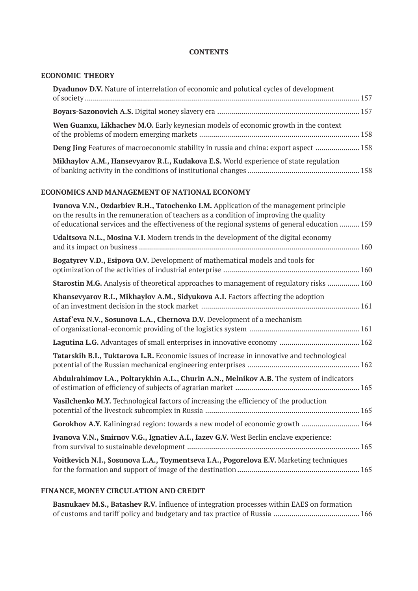## **CONTENTS**

## **ECONOMIC THEORY**

| Dyadunov D.V. Nature of interrelation of economic and polutical cycles of development        |  |
|----------------------------------------------------------------------------------------------|--|
|                                                                                              |  |
| Wen Guanxu, Likhachev M.O. Early keynesian models of economic growth in the context          |  |
| <b>Deng Jing</b> Features of macroeconomic stability in russia and china: export aspect  158 |  |
| Mikhaylov A.M., Hansevyarov R.I., Kudakova E.S. World experience of state regulation         |  |

## **ECONOMICS AND MANAGEMENT OF NATIONAL ECONOMY**

| Ivanova V.N., Ozdarbiev R.H., Tatochenko I.M. Application of the management principle<br>on the results in the remuneration of teachers as a condition of improving the quality<br>of educational services and the effectiveness of the regional systems of general education  159 |  |
|------------------------------------------------------------------------------------------------------------------------------------------------------------------------------------------------------------------------------------------------------------------------------------|--|
| Udaltsova N.L., Mosina V.I. Modern trends in the development of the digital economy                                                                                                                                                                                                |  |
| Bogatyrev V.D., Esipova O.V. Development of mathematical models and tools for                                                                                                                                                                                                      |  |
| Starostin M.G. Analysis of theoretical approaches to management of regulatory risks  160                                                                                                                                                                                           |  |
| Khansevyarov R.I., Mikhaylov A.M., Sidyukova A.I. Factors affecting the adoption                                                                                                                                                                                                   |  |
| Astaf'eva N.V., Sosunova L.A., Chernova D.V. Development of a mechanism                                                                                                                                                                                                            |  |
|                                                                                                                                                                                                                                                                                    |  |
| Tatarskih B.I., Tuktarova L.R. Economic issues of increase in innovative and technological                                                                                                                                                                                         |  |
| Abdulrahimov I.A., Poltarykhin A.L., Churin A.N., Melnikov A.B. The system of indicators                                                                                                                                                                                           |  |
| Vasilchenko M.Y. Technological factors of increasing the efficiency of the production                                                                                                                                                                                              |  |
| Gorokhov A.Y. Kaliningrad region: towards a new model of economic growth  164                                                                                                                                                                                                      |  |
| Ivanova V.N., Smirnov V.G., Ignatiev A.I., Iazev G.V. West Berlin enclave experience:                                                                                                                                                                                              |  |
| Voitkevich N.I., Sosunova L.A., Toymentseva I.A., Pogorelova E.V. Marketing techniques                                                                                                                                                                                             |  |

## **FINANCE, MONEY CIRCULATION AND CREDIT**

**Basnukaev M.S., Batashev R.V.** Influence of integration processes within EAES on formation of customs and tariff policy and budgetary and tax practice of Russia ........................................... 166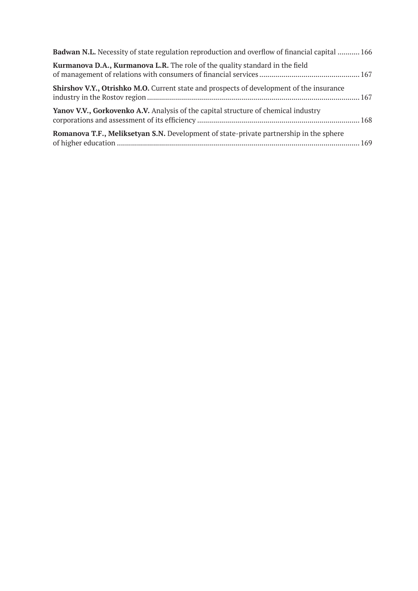| <b>Badwan N.L.</b> Necessity of state regulation reproduction and overflow of financial capital  166 |  |
|------------------------------------------------------------------------------------------------------|--|
| Kurmanova D.A., Kurmanova L.R. The role of the quality standard in the field                         |  |
| <b>Shirshov V.Y., Otrishko M.O.</b> Current state and prospects of development of the insurance      |  |
| Yanov V.V., Gorkovenko A.V. Analysis of the capital structure of chemical industry                   |  |
| Romanova T.F., Meliksetyan S.N. Development of state-private partnership in the sphere               |  |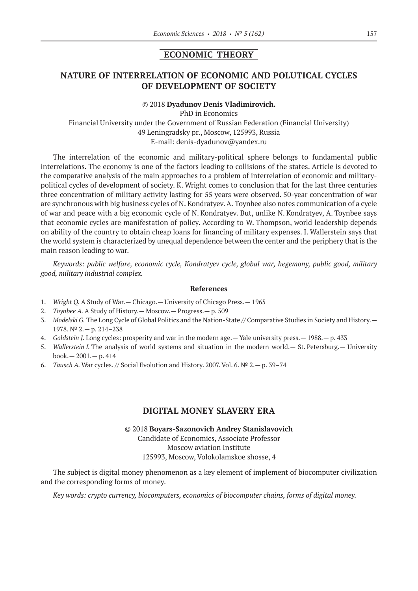## **ECONOMIC THEORY**

## **NATURE OF INTERRELATION OF ECONOMIC AND POLUTICAL CYCLES OF DEVELOPMENT OF SOCIETY**

#### ©© 2018 **Dyadunov Denis Vladimirovich.**

PhD in Economics Financial University under the Government of Russian Federation (Financial University) 49 Leningradsky pr., Moscow, 125993, Russia E-mail: denis-dyadunov@yandex.ru

The interrelation of the economic and military-political sphere belongs to fundamental public interrelations. The economy is one of the factors leading to collisions of the states. Article is devoted to the comparative analysis of the main approaches to a problem of interrelation of economic and militarypolitical cycles of development of society. K. Wright comes to conclusion that for the last three centuries three concentration of military activity lasting for 55 years were observed. 50-year concentration of war are synchronous with big business cycles of N. Kondratyev. A. Toynbee also notes communication of a cycle of war and peace with a big economic cycle of N. Kondratyev. But, unlike N. Kondratyev, A. Toynbee says that economic cycles are manifestation of policy. According to W. Thompson, world leadership depends on ability of the country to obtain cheap loans for financing of military expenses. I. Wallerstein says that the world system is characterized by unequal dependence between the center and the periphery that is the main reason leading to war.

*Keywords: public welfare, economic cycle, Kondratyev cycle, global war, hegemony, public good, military good, military industrial complex.*

#### **References**

- 1. *Wright Q.* A Study of War.— Chicago.— University of Chicago Press.— 1965
- 2. *Toynbee A.* A Study of History.— Moscow.— Progress.— p. 509
- 3. *Modelski G.* The Long Cycle of Global Politics and the Nation-State // Comparative Studies in Society and History.— 1978. № 2.— p. 214–238
- 4. *Goldstein J.* Long cycles: prosperity and war in the modern age.— Yale university press.— 1988.— p. 433
- 5. *Wallerstein I.* The analysis of world systems and situation in the modern world.— St. Petersburg.— University book.— 2001.— p. 414
- 6. *Tausch A.* War cycles. // Social Evolution and History. 2007. Vol. 6. № 2.— p. 39–74

## **DIGITAL МОNEY SLAVERY ERA**

©© 2018 **Boyars-Sazonovich Andrey Stanislavovich** Сandidate of Economics, Associate Professor Moscow aviation Institute 125993, Moscow, Volokolamskoe shosse, 4

The subject is digital money phenomenon as a key element of implement of biocomputer civilization and the corresponding forms of money.

*Key words: сrypto currency, biocomputers, economics of biocomputer chains, forms of digital money.*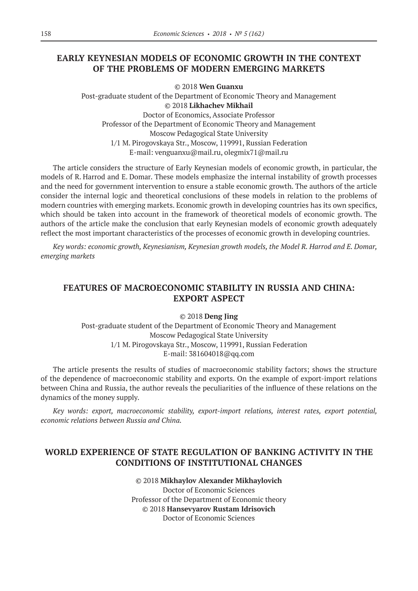# **EARLY KEYNESIAN MODELS OF ECONOMIC GROWTH IN THE CONTEXT OF THE PROBLEMS OF MODERN EMERGING MARKETS**

©© 2018 **Wen Guanxu** Post-graduate student of the Department of Economic Theory and Management ©© 2018 **Likhachev Mikhail** Doctor of Economics, Associate Professor Professor of the Department of Economic Theory and Management Moscow Pedagogical State University 1/1 M. Pirogovskaya Str., Moscow, 119991, Russian Federation E-mail: venguanxu@mail.ru, olegmix71@mail.ru

The article considers the structure of Early Keynesian models of economic growth, in particular, the models of R. Harrod and E. Domar. These models emphasize the internal instability of growth processes and the need for government intervention to ensure a stable economic growth. The authors of the article consider the internal logic and theoretical conclusions of these models in relation to the problems of modern countries with emerging markets. Economic growth in developing countries has its own specifics, which should be taken into account in the framework of theoretical models of economic growth. The authors of the article make the conclusion that early Keynesian models of economic growth adequately reflect the most important characteristics of the processes of economic growth in developing countries.

*Key words: economic growth, Keynesianism, Keynesian growth models, the Model R. Harrod and E. Domar, emerging markets*

# **FEATURES OF MACROECONOMIC STABILITY IN RUSSIA AND CHINA: EXPORT ASPECT**

©© 2018 **Deng Jing**

Post-graduate student of the Department of Economic Theory and Management Moscow Pedagogical State University 1/1 M. Pirogovskaya Str., Moscow, 119991, Russian Federation E-mail: 381604018@qq.com

The article presents the results of studies of macroeconomic stability factors; shows the structure of the dependence of macroeconomic stability and exports. On the example of export-import relations between China and Russia, the author reveals the peculiarities of the influence of these relations on the dynamics of the money supply.

*Key words: export, macroeconomic stability, export-import relations, interest rates, export potential, economic relations between Russia and China.*

# **WORLD EXPERIENCE OF STATE REGULATION OF BANKING ACTIVITY IN THE CONDITIONS OF INSTITUTIONAL CHANGES**

©© 2018 **Mikhaylov Alexander Mikhaylovich** Doctor of Economic Sciences Professor of the Department of Economic theory ©© 2018 **Hansevyarov Rustam Idrisovich** Doctor of Economic Sciences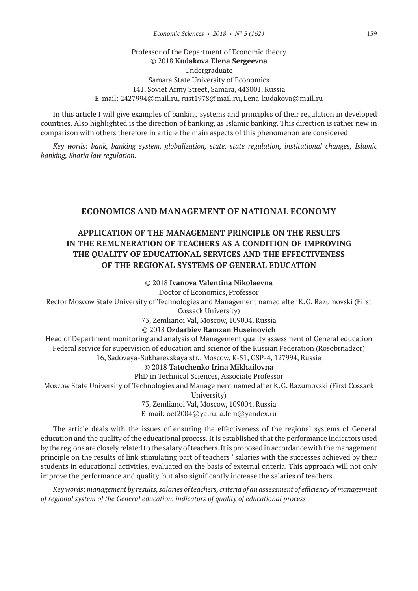## Professor of the Department of Economic theory ©© 2018 **Kudakova Elena Sergeevna** Undergraduate Samara State University of Economics 141, Soviet Army Street, Samara, 443001, Russia E-mail: 2427994@mail.ru, rust1978@mail.ru, Lena\_kudakova@mail.ru

In this article I will give examples of banking systems and principles of their regulation in developed countries. Also highlighted is the direction of banking, as Islamic banking. This direction is rather new in comparison with others therefore in article the main aspects of this phenomenon are considered

*Key words: bank, banking system, globalization, state, state regulation, institutional changes, Islamic banking, Sharia law regulation.*

## **ECONOMICS AND MANAGEMENT OF NATIONAL ECONOMY**

# **APPLICATION OF THE MANAGEMENT PRINCIPLE ON THE RESULTS IN THE REMUNERATION OF TEACHERS AS A CONDITION OF IMPROVING THE QUALITY OF EDUCATIONAL SERVICES AND THE EFFECTIVENESS OF THE REGIONAL SYSTEMS OF GENERAL EDUCATION**

## ©© 2018 **Ivanova Valentina Nikolaevna**

Doctor of Economics, Professor

Rector Moscow State University of Technologies and Management named after K.G. Razumovski (First

Cossack University)

73, Zemlianoi Val, Moscow, 109004, Russia

### ©© 2018 **Ozdarbiev Ramzan Huseinovich**

Head of Department monitoring and analysis of Management quality assessment of General education Federal service for supervision of education and science of the Russian Federation (Rosobrnadzor) 16, Sadovaya-Sukharevskaya str., Moscow, K‑51, GSP‑4, 127994, Russia

©© 2018 **Tatochenko Irina Mikhailovna**

PhD in Technical Sciences, Associate Professor

Moscow State University of Technologies and Management named after K.G. Razumovski (First Cossack

University)

73, Zemlianoi Val, Moscow, 109004, Russia E-mail: oet2004@ya.ru, a.fem@yandex.ru

The article deals with the issues of ensuring the effectiveness of the regional systems of General education and the quality of the educational process. It is established that the performance indicators used by the regions are closely related to the salary of teachers. It is proposed in accordance with the management principle on the results of link stimulating part of teachers ' salaries with the successes achieved by their students in educational activities, evaluated on the basis of external criteria. This approach will not only improve the performance and quality, but also significantly increase the salaries of teachers.

*Key words: management by results, salaries of teachers, criteria of an assessment of efficiency of management of regional system of the General education, indicators of quality of educational process*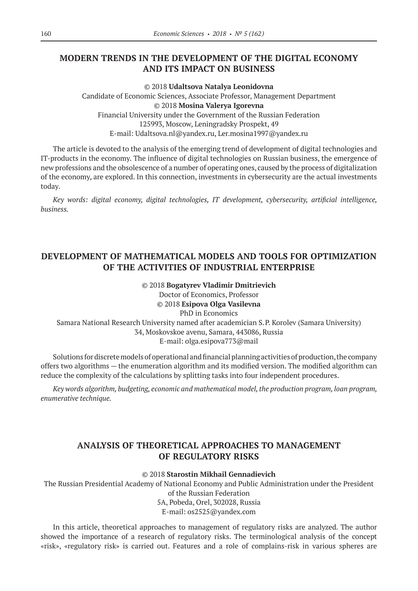# **MODERN TRENDS IN THE DEVELOPMENT OF THE DIGITAL ECONOMY AND ITS IMPACT ON BUSINESS**

©© 2018 **Udaltsova Natalya Leonidovna** Candidate of Economic Sciences, Associate Professor, Management Department ©© 2018 **Mosina Valerya Igorevna** Financial University under the Government of the Russian Federation 125993, Moscow, Leningradsky Prospekt, 49 E-mail: Udaltsova.nl@yandex.ru, Ler.mosina1997@yandex.ru

The article is devoted to the analysis of the emerging trend of development of digital technologies and IT-products in the economy. The influence of digital technologies on Russian business, the emergence of new professions and the obsolescence of a number of operating ones, caused by the process of digitalization of the economy, are explored. In this connection, investments in cybersecurity are the actual investments today.

*Key words: digital economy, digital technologies, IT development, cybersecurity, artificial intelligence, business.*

# **DEVELOPMENT OF MATHEMATICAL MODELS AND TOOLS FOR OPTIMIZATION OF THE ACTIVITIES OF INDUSTRIAL ENTERPRISE**

#### ©© 2018 **Bogatyrev Vladimir Dmitrievich**

Doctor of Economics, Professor ©© 2018 **Esipova Olga Vasilevna** PhD in Economics Samara National Research University named after academician S.P. Korolev (Samara University) 34, Moskovskoe avenu, Samara, 443086, Russia E-mail: olga.esipova773@mail

Solutions for discrete models of operational and financial planning activities of production, the company offers two algorithms — the enumeration algorithm and its modified version. The modified algorithm can reduce the complexity of the calculations by splitting tasks into four independent procedures.

*Key words algorithm, budgeting, economic and mathematical model, the production program, loan program, enumerative technique.*

# **ANALYSIS OF THEORETICAL APPROACHES TO MANAGEMENT OF REGULATORY RISKS**

©© 2018 **Starostin Mikhail Gennadievich**

The Russian Presidential Academy of National Economy and Public Administration under the President of the Russian Federation 5А, Pobeda, Orel, 302028, Russia Е-mail: os2525@yandex.com

In this article, theoretical approaches to management of regulatory risks are analyzed. The author showed the importance of a research of regulatory risks. The terminological analysis of the concept «risk», «regulatory risk» is carried out. Features and a role of complains-risk in various spheres are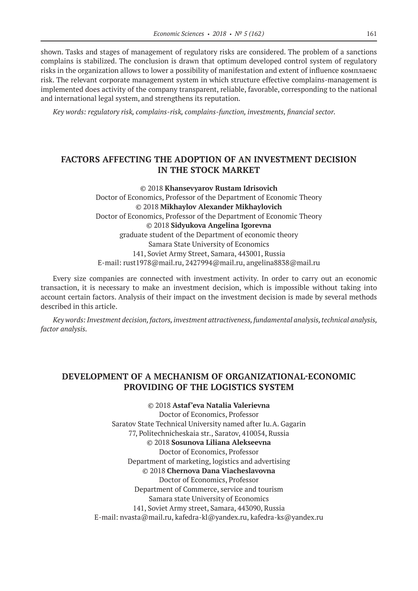shown. Tasks and stages of management of regulatory risks are considered. The problem of a sanctions complains is stabilized. The conclusion is drawn that optimum developed control system of regulatory risks in the organization allows to lower a possibility of manifestation and extent of influence комплаенс risk. The relevant corporate management system in which structure effective complains-management is implemented does activity of the company transparent, reliable, favorable, corresponding to the national and international legal system, and strengthens its reputation.

*Key words: regulatory risk, complains-risk, complains-function, investments, financial sector.*

# **FACTORS AFFECTING THE ADOPTION OF AN INVESTMENT DECISION IN THE STOCK MARKET**

©© 2018 **Khansevyarov Rustam Idrisovich** Doctor of Economics, Professor of the Department of Economic Theory ©© 2018 **Mikhaylov Alexander Mikhaylovich** Doctor of Economics, Professor of the Department of Economic Theory ©© 2018 **Sidyukova Angelina Igorevna** graduate student of the Department of economic theory Samara State University of Economics 141, Soviet Army Street, Samara, 443001, Russia E-mail: rust1978@mail.ru, 2427994@mail.ru, angelina8838@mail.ru

Every size companies are connected with investment activity. In order to carry out an economic transaction, it is necessary to make an investment decision, which is impossible without taking into account certain factors. Analysis of their impact on the investment decision is made by several methods described in this article.

*Key words: Investment decision, factors, investment attractiveness, fundamental analysis, technical analysis, factor analysis.*

## **DEVELOPMENT OF A MECHANISM OF ORGANIZATIONAL-ECONOMIC PROVIDING OF THE LOGISTICS SYSTEM**

©© 2018 **Astaf'eva Natalia Valerievna** Doctor of Economics, Professor Saratov State Technical University named after Iu.A. Gagarin 77, Politechnicheskaia str., Saratov, 410054, Russia ©© 2018 **Sosunova Liliana Alekseevna** Doctor of Economics, Professor Department of marketing, logistics and advertising ©© 2018 **Chernova Dana Viacheslavovna** Doctor of Economics, Professor Department of Commerce, service and tourism Samara state University of Economics 141, Soviet Army street, Samara, 443090, Russia E-mail: nvasta@mail.ru, kafedra-kl@yandex.ru, kafedra-ks@yandex.ru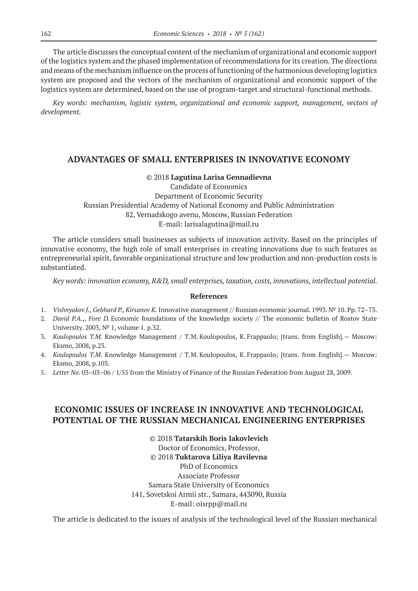The article discusses the conceptual content of the mechanism of organizational and economic support of the logistics system and the phased implementation of recommendations for its creation. The directions and means of the mechanism influence on the process of functioning of the harmonious developing logistics system are proposed and the vectors of the mechanism of organizational and economic support of the logistics system are determined, based on the use of program-target and structural-functional methods.

*Key words: mechanism, logistic system, organizational and economic support, management, vectors of development.*

## **ADVANTAGES OF SMALL ENTERPRISES IN INNOVATIVE ECONOMY**

#### ©© 2018 **Lagutina Larisa Gennadievna**

Candidate of Economics Department of Economic Security Russian Presidential Academy of National Economy and Public Administration 82, Vernadskogo avenu, Moscow, Russian Federation E-mail: larisalagutina@mail.ru

The article considers small businesses as subjects of innovation activity. Based on the principles of innovative economy, the high role of small enterprises in creating innovations due to such features as entrepreneurial spirit, favorable organizational structure and low production and non-production costs is substantiated.

*Key words: innovation economy, R&D, small enterprises, taxation, costs, innovations, intellectual potential.*

#### **References**

- 1. *Vishnyakov J., Gebhard P., Kirsanov K.* Innovative management // Russian economic journal. 1993. № 10. Pp. 72–73.
- 2. *David P.A.*,. *Fore D.* Economic foundations of the knowledge society // The economic bulletin of Rostov State University. 2003, № 1, volume 1. p.32.
- 3. *Koulopoulos T.M.* Knowledge Management / Т.М. Koulopoulos, K. Frappaolo; [trans. from English].— Moscow: Eksmo, 2008, p.23.
- 4. *Koulopoulos T.M.* Knowledge Management / Т.М. Koulopoulos, K. Frappaolo; [trans. from English].— Moscow: Eksmo, 2008, p.103.
- 5. *Letter No.* 03–03–06 / 1/55 from the Ministry of Finance of the Russian Federation from August 28, 2009.

## **ECONOMIC ISSUES OF INCREASE IN INNOVATIVE AND TECHNOLOGICAL POTENTIAL OF THE RUSSIAN MECHANICAL ENGINEERING ENTERPRISES**

©© 2018 **Tatarskih Boris Iakovlevich** Doctor of Economics, Professor, ©© 2018 **Tuktarova Liliya Ravilevna** PhD of Economics Associate Professor Samara State University of Economics 141, Sovetskoi Armii str., Samara, 443090, Russia Е-mail: oisrpp@mail.ru

The article is dedicated to the issues of analysis of the technological level of the Russian mechanical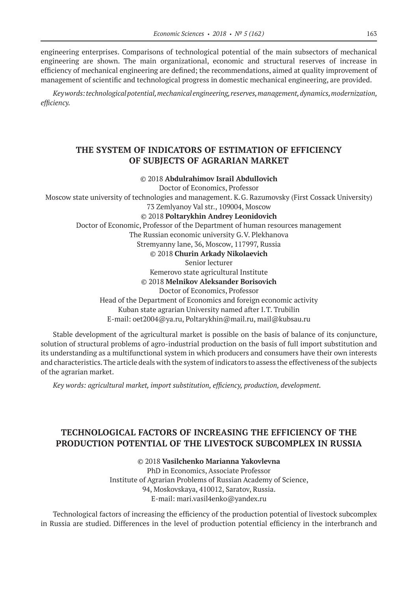engineering enterprises. Comparisons of technological potential of the main subsectors of mechanical engineering are shown. The main organizational, economic and structural reserves of increase in efficiency of mechanical engineering are defined; the recommendations, aimed at quality improvement of management of scientific and technological progress in domestic mechanical engineering, are provided.

*Key words: technological potential, mechanical engineering, reserves, management, dynamics, modernization, efficiency.*

# **THE SYSTEM OF INDICATORS OF ESTIMATION OF EFFICIENCY OF SUBJECTS OF AGRARIAN MARKET**

©© 2018 **Abdulrahimov Israil Abdullovich**

Doctor of Economics, Professor

Moscow state university of technologies and management. K.G. Razumovsky (First Cossack University) 73 Zemlyanoy Val str., 109004, Moscow

# ©© 2018 **Poltarykhin Andrey Leonidovich**

Doctor of Еconomic, Professor of the Department of human resources management

The Russian economic university G.V. Plekhanova

Stremyanny lane, 36, Moscow, 117997, Russia

©© 2018 **Churin Arkady Nikolaevich**

Senior lecturer

Kemerovo state agricultural Institute ©© 2018 **Melnikov Aleksander Borisovich**

Doctor of Economics, Professor

Head of the Department of Economics and foreign economic activity

Kuban state agrarian University named after I.T. Trubilin

E-mail: oet2004@ya.ru, Poltarykhin@mail.ru, mail@kubsau.ru

Stable development of the agricultural market is possible on the basis of balance of its conjuncture, solution of structural problems of agro-industrial production on the basis of full import substitution and its understanding as a multifunctional system in which producers and consumers have their own interests and characteristics. The article deals with the system of indicators to assess the effectiveness of the subjects of the agrarian market.

*Key words: agricultural market, import substitution, efficiency, production, development.*

# **TECHNOLOGICAL FACTORS OF INCREASING THE EFFICIENCY OF THE PRODUCTION POTENTIAL OF THE LIVESTOCK SUBCOMPLEX IN RUSSIA**

## ©© 2018 **Vasilchenko Мarianna Yakovlevna**

PhD in Economics, Associate Professor Institute of Agrarian Problems of Russian Academy of Science, 94, Moskovskaya, 410012, Saratov, Russia. E-mail: mari.vasil4enko@yandex.ru

Technological factors of increasing the efficiency of the production potential of livestock subcomplex in Russia are studied. Differences in the level of production potential efficiency in the interbranch and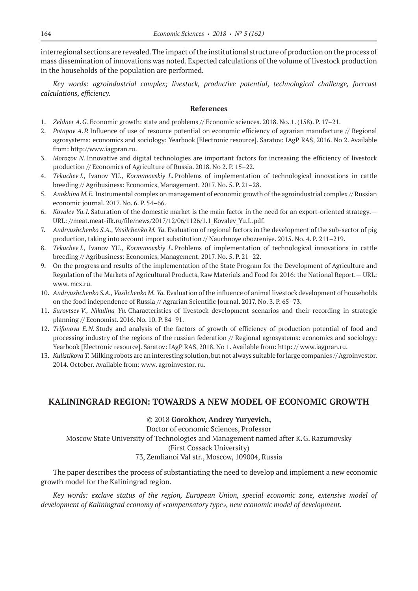interregional sections are revealed. The impact of the institutional structure of production on the process of mass dissemination of innovations was noted. Expected calculations of the volume of livestock production in the households of the population are performed.

*Key words: agroindustrial complex; livestock, productive potential, technological challenge, forecast calculations, efficiency.*

## **References**

- 1. *Zeldner A.G.* Economic growth: state and problems // Economic sciences. 2018. No. 1. (158). P. 17–21.
- 2. *Potapov A.P.* Influence of use of resource potential on economic efficiency of agrarian manufacture // Regional agrosystems: economics and sociology: Yearbook [Electronic resource]. Saratov: IAgP RAS, 2016. No 2. Available from: http://www.iagpran.ru.
- 3. *Morozov N.* Innovative and digital technologies are important factors for increasing the efficiency of livestock production // Economics of Agriculture of Russia. 2018. No 2. P. 15–22.
- 4. *Tekuchev I.,* Ivanov YU., *Kormanovskiy L.* Problems of implementation of technological innovations in cattle breeding // Agribusiness: Economics, Management. 2017. No. 5. P. 21–28.
- 5. *Anokhina M.E.* Instrumental complex on management of economic growth of the agroindustrial complex // Russian economic journal. 2017. No. 6. P. 54–66.
- 6. *Kovalev Yu.I.* Saturation of the domestic market is the main factor in the need for an export-oriented strategy.— URL: //meat.meat-ilk.ru/file/news/2017/12/06/1126/1.1\_Kovalev\_Yu.I..pdf.
- 7. *Andryushchenko S.A., Vasilchenko M. Ya.* Evaluation of regional factors in the development of the sub-sector of pig production, taking into account import substitution // Nauchnoye obozreniye. 2015. No. 4. P. 211–219.
- 8. *Tekuchev I.,* Ivanov YU., *Kormanovskiy L.* Problems of implementation of technological innovations in cattle breeding // Agribusiness: Economics, Management. 2017. No. 5. P. 21–22.
- 9. On the progress and results of the implementation of the State Program for the Development of Agriculture and Regulation of the Markets of Agricultural Products, Raw Materials and Food for 2016: the National Report.— URL: www. mcx.ru.
- 10. *Andryushchenko S.A., Vasilchenko M. Ya.* Evaluation of the influence of animal livestock development of households on the food independence of Russia // Agrarian Scientific Journal. 2017. No. 3. P. 65–73.
- 11. *Surovtsev V., Nikulina Yu.* Characteristics of livestock development scenarios and their recording in strategic planning // Economist. 2016. No. 10. P. 84–91.
- 12. *Trifonova E.N.* Study and analysis of the factors of growth of efficiency of production potential of food and processing industry of the regions of the russian federation // Regional agrosystems: economics and sociology: Yearbook [Electronic resource]. Saratov: IAgP RAS, 2018. No 1. Available from: httр: // www.iagpran.ru.
- 13. *Kulistikova T.* Milking robots are an interesting solution, but not always suitable for large companies // Agroinvestor. 2014. October. Available from: www. agroinvestor. ru.

## **KALININGRAD REGION: TOWARDS A NEW MODEL OF ECONOMIC GROWTH**

## ©© 2018 **Gorokhov, Andrey Yuryevich,**

Doctor of economic Sciences, Professor Moscow State University of Technologies and Management named after K.G. Razumovsky (First Cossack University) 73, Zemlianoi Val str., Moscow, 109004, Russia

Тhe paper describes the process of substantiating the need to develop and implement a new economic growth model for the Kaliningrad region.

*Key words: exclave status of the region, European Union, special economic zone, extensive model of development of Kaliningrad economy of «compensatory type», new economic model of development.*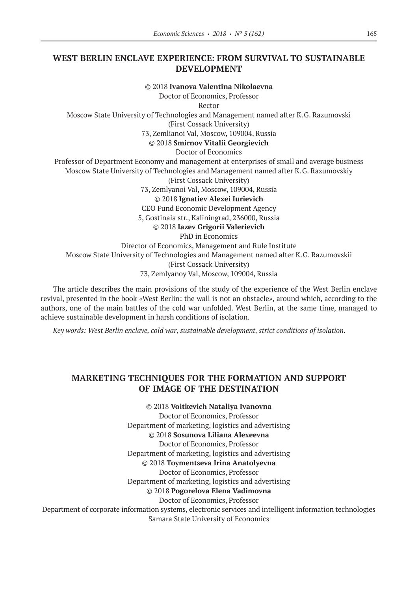## **WEST BERLIN ENCLAVE EXPERIENCE: FROM SURVIVAL TO SUSTAINABLE DEVELOPMENT**

©© 2018 **Ivanova Valentina Nikolaevna**

Doctor of Economics, Professor

Rector

Moscow State University of Technologies and Management named after K.G. Razumovski (First Cossack University)

73, Zemlianoi Val, Moscow, 109004, Russia

©© 2018 **Smirnov Vitalii Georgievich**

Doctor of Economics

Professor of Department Economy and management at enterprises of small and average business Moscow State University of Technologies and Management named after K.G. Razumovskiy (First Cossack University)

73, Zemlyanoi Val, Moscow, 109004, Russia

©© 2018 **Ignatiev Alexei Iurievich**

CEO Fund Economic Development Agency

5, Gostinaia str., Kaliningrad, 236000, Russia

©© 2018 **Iazev Grigorii Valerievich**

PhD in Economics

Director of Economics, Management and Rule Institute Moscow State University of Technologies and Management named after K.G. Razumovskii (First Cossack University) 73, Zemlyanoy Val, Moscow, 109004, Russia

The article describes the main provisions of the study of the experience of the West Berlin enclave revival, presented in the book «West Berlin: the wall is not an obstacle», around which, according to the authors, one of the main battles of the cold war unfolded. West Berlin, at the same time, managed to achieve sustainable development in harsh conditions of isolation.

*Key words: West Berlin enclave, cold war, sustainable development, strict conditions of isolation.*

## **MARKETING TECHNIQUES FOR THE FORMATION AND SUPPORT OF IMAGE OF THE DESTINATION**

©© 2018 **Voitkevich Nataliya Ivanovna** Doctor of Economics, Professor Department of marketing, logistics and advertising ©© 2018 **Sosunova Liliana Alexeevna** Doctor of Economics, Professor Department of marketing, logistics and advertising ©© 2018 **Toymentseva Irina Anatolyevna** Doctor of Economics, Professor Department of marketing, logistics and advertising ©© 2018 **Pogorelova Elena Vadimovna** Doctor of Economics, Professor Department of corporate information systems, electronic services and intelligent information technologies Samara State University of Economics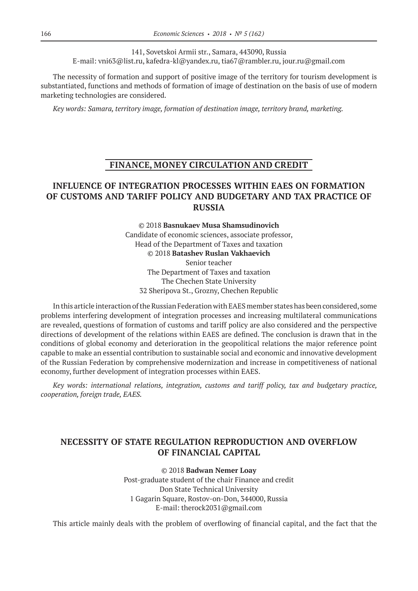141, Sovetskoi Armii str., Samara, 443090, Russia E-mail: vni63@list.ru, kafedra-kl@yandex.ru, tia67@rambler.ru, jour.ru@gmail.com

The necessity of formation and support of positive image of the territory for tourism development is substantiated, functions and methods of formation of image of destination on the basis of use of modern marketing technologies are considered.

*Key words: Samara, territory image, formation of destination image, territory brand, marketing.*

# **FINANCE, MONEY CIRCULATION AND CREDIT**

# **INFLUENCE OF INTEGRATION PROCESSES WITHIN EAES ON FORMATION OF CUSTOMS AND TARIFF POLICY AND BUDGETARY AND TAX PRACTICE OF RUSSIA**

©© 2018 **Basnukaev Musa Shamsudinovich** Candidate of economic sciences, associate professor, Head of the Department of Taxes and taxation ©© 2018 **Batashev Ruslan Vakhaevich** Senior teacher The Department of Taxes and taxation The Chechen State University 32 Sheripova St., Grozny, Chechen Republic

In this article interaction of the Russian Federation with EAES member states has been considered, some problems interfering development of integration processes and increasing multilateral communications are revealed, questions of formation of customs and tariff policy are also considered and the perspective directions of development of the relations within EAES are defined. The conclusion is drawn that in the conditions of global economy and deterioration in the geopolitical relations the major reference point capable to make an essential contribution to sustainable social and economic and innovative development of the Russian Federation by comprehensive modernization and increase in competitiveness of national economy, further development of integration processes within EAES.

*Key words: international relations, integration, customs and tariff policy, tax and budgetary practice, cooperation, foreign trade, EAES.*

# **NECESSITY OF STATE REGULATION REPRODUCTION AND OVERFLOW OF FINANCIAL CAPITAL**

©© 2018 **Badwan Nemer Loay**

Post-graduate student of the chair Finance and credit Don State Technical University 1 Gagarin Square, Rostov-on-Don, 344000, Russia E-mail: therock2031@gmail.com

This article mainly deals with the problem of overflowing of financial capital, and the fact that the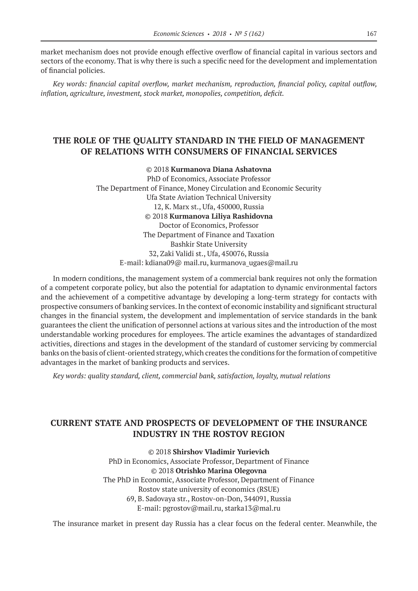market mechanism does not provide enough effective overflow of financial capital in various sectors and sectors of the economy. That is why there is such a specific need for the development and implementation of financial policies.

*Key words: financial capital overflow, market mechanism, reproduction, financial policy, capital outflow, inflation, agriculture, investment, stock market, monopolies, competition, deficit.*

## **THE ROLE OF THE QUALITY STANDARD IN THE FIELD OF MANAGEMENT OF RELATIONS WITH CONSUMERS OF FINANCIAL SERVICES**

#### ©© 2018 **Kurmanova Diana Ashatovna**

PhD of Economics, Associate Professor The Department of Finance, Money Circulation and Economic Security Ufa State Aviation Technical University 12, К. Marx st., Ufa, 450000, Russia ©© 2018 **Kurmanova Liliya Rashidovna** Doctor of Economics, Professor Тhe Department of Finance and Taxation Bashkir State University 32, Zaki Validi st., Ufa, 450076, Russia E-mail: kdiana09@ mail.ru, kurmanova\_ugaes@mail.ru

In modern conditions, the management system of a commercial bank requires not only the formation of a competent corporate policy, but also the potential for adaptation to dynamic environmental factors and the achievement of a competitive advantage by developing a long-term strategy for contacts with prospective consumers of banking services. In the context of economic instability and significant structural changes in the financial system, the development and implementation of service standards in the bank guarantees the client the unification of personnel actions at various sites and the introduction of the most understandable working procedures for employees. The article examines the advantages of standardized activities, directions and stages in the development of the standard of customer servicing by commercial banks on the basis of client-oriented strategy, which creates the conditions for the formation of competitive advantages in the market of banking products and services.

*Key words: quality standard, client, commercial bank, satisfaction, loyalty, mutual relations*

# **CURRENT STATE AND PROSPECTS OF DEVELOPMENT OF THE INSURANCE INDUSTRY IN THE ROSTOV REGION**

©© 2018 **Shirshov Vladimir Yurievich** PhD in Economics, Associate Professor, Department of Finance ©© 2018 **Otrishko Marina Olegovna** The PhD in Economic, Associate Professor, Department of Finance Rostov state university of economics (RSUE) 69, B. Sadovaya str., Rostov-on-Don, 344091, Russia E-mail: pgrostov@mail.ru, starka13@mal.ru

The insurance market in present day Russia has a clear focus on the federal center. Meanwhile, the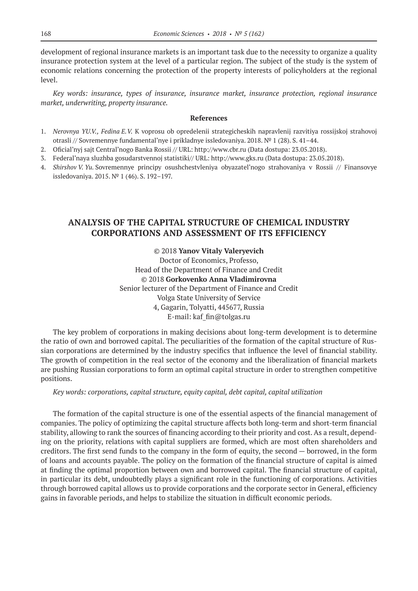development of regional insurance markets is an important task due to the necessity to organize a quality insurance protection system at the level of a particular region. The subject of the study is the system of economic relations concerning the protection of the property interests of policyholders at the regional level.

*Key words: insurance, types of insurance, insurance market, insurance protection, regional insurance market, underwriting, property insurance.*

#### **References**

- 1. *Nerovnya YU.V., Fedina E.V.* K voprosu ob opredelenii strategicheskih napravlenij razvitiya rossijskoj strahovoj otrasli // Sovremennye fundamental'nye i prikladnye issledovaniya. 2018. № 1 (28). S. 41–44.
- 2. Oficial'nyj sajt Central'nogo Banka Rossii // URL: http://www.cbr.ru (Data dostupa: 23.05.2018).
- 3. Federal'naya sluzhba gosudarstvennoj statistiki// URL: http://www.gks.ru (Data dostupa: 23.05.2018).
- 4. *Shirshov V. Yu.* Sovremennye principy osushchestvleniya obyazatel'nogo strahovaniya v Rossii // Finansovye issledovaniya. 2015. № 1 (46). S. 192–197.

# **ANALYSIS OF THE CAPITAL STRUCTURE OF CHEMICAL INDUSTRY CORPORATIONS AND ASSESSMENT OF ITS EFFICIENCY**

©© 2018 **Yanov Vitaly Valeryevich** Doctor of Economics, Professo,

Head of the Department of Finance and Credit ©© 2018 **Gorkovenko Anna Vladimirovna** Senior lecturer of the Department of Finance and Credit Volga State University of Service 4, Gagarin, Tolyatti, 445677, Russia E-mail: kaf\_fin@tolgas.ru

The key problem of corporations in making decisions about long-term development is to determine the ratio of own and borrowed capital. The peculiarities of the formation of the capital structure of Russian corporations are determined by the industry specifics that influence the level of financial stability. The growth of competition in the real sector of the economy and the liberalization of financial markets are pushing Russian corporations to form an optimal capital structure in order to strengthen competitive positions.

#### *Key words: corporations, capital structure, equity capital, debt capital, capital utilization*

The formation of the capital structure is one of the essential aspects of the financial management of companies. The policy of optimizing the capital structure affects both long-term and short-term financial stability, allowing to rank the sources of financing according to their priority and cost. As a result, depending on the priority, relations with capital suppliers are formed, which are most often shareholders and creditors. The first send funds to the company in the form of equity, the second — borrowed, in the form of loans and accounts payable. The policy on the formation of the financial structure of capital is aimed at finding the optimal proportion between own and borrowed capital. The financial structure of capital, in particular its debt, undoubtedly plays a significant role in the functioning of corporations. Activities through borrowed capital allows us to provide corporations and the corporate sector in General, efficiency gains in favorable periods, and helps to stabilize the situation in difficult economic periods.